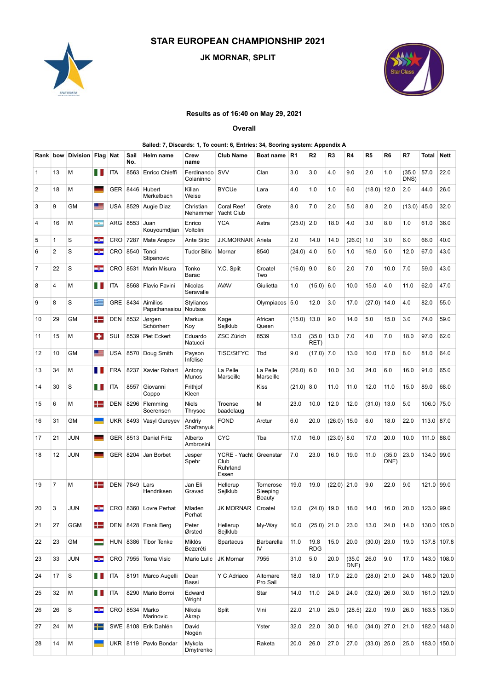# STAR EUROPEAN CHAMPIONSHIP 2021







## Results as of 16:40 on May 29, 2021

#### Overall

#### Sailed: 7, Discards: 1, To count: 6, Entries: 34, Scoring system: Appendix A

|                |                 |                                 |                                                                                                                                                                                                                                |                    |                                |                                     |                              | <b>STAR EUROPEAN CHAMPIONSHIP 2021</b>                                                           |                                 |              |                      |                            |              |                          |                        |             |                     |             |
|----------------|-----------------|---------------------------------|--------------------------------------------------------------------------------------------------------------------------------------------------------------------------------------------------------------------------------|--------------------|--------------------------------|-------------------------------------|------------------------------|--------------------------------------------------------------------------------------------------|---------------------------------|--------------|----------------------|----------------------------|--------------|--------------------------|------------------------|-------------|---------------------|-------------|
|                |                 |                                 |                                                                                                                                                                                                                                |                    |                                |                                     |                              | JK MORNAR, SPLIT                                                                                 |                                 |              |                      |                            |              |                          |                        |             |                     |             |
|                |                 |                                 |                                                                                                                                                                                                                                |                    |                                |                                     |                              |                                                                                                  |                                 |              |                      |                            |              |                          |                        |             |                     |             |
|                |                 | SPLIT CROATIA                   |                                                                                                                                                                                                                                |                    |                                |                                     |                              |                                                                                                  |                                 |              |                      |                            |              |                          |                        |             |                     |             |
|                |                 |                                 |                                                                                                                                                                                                                                |                    |                                |                                     |                              | Results as of 16:40 on May 29, 2021                                                              |                                 |              |                      |                            |              |                          |                        |             |                     |             |
|                |                 |                                 |                                                                                                                                                                                                                                |                    |                                |                                     |                              | Overall                                                                                          |                                 |              |                      |                            |              |                          |                        |             |                     |             |
|                |                 | Rank bow Division Flag Nat Sail |                                                                                                                                                                                                                                |                    |                                | Helm name                           | Crew                         | Sailed: 7, Discards: 1, To count: 6, Entries: 34, Scoring system: Appendix A<br><b>Club Name</b> | Boat name R1                    |              | R2                   | R3                         | R4           | R5                       | R6                     | R7          | <b>Total Nett</b>   |             |
| $\mathbf{1}$   | 13              | M                               |                                                                                                                                                                                                                                | <b>THEFTA</b>      | No.                            | 8563 Enrico Chieffi                 | name<br>Ferdinando SVV       |                                                                                                  | Clan                            | 3.0          | 3.0                  | 4.0                        | 9.0          | 2.0                      | 1.0                    |             | (35.0   57.0   22.0 |             |
| $\overline{2}$ | 18              | M                               | and the contract of the contract of the contract of the contract of the contract of the contract of the contract of the contract of the contract of the contract of the contract of the contract of the contract of the contra |                    | GER 8446 Hubert                |                                     | Colaninno<br>Kilian          | <b>BYCUe</b>                                                                                     | Lara                            | 4.0          | 1.0                  | 1.0                        | 6.0          | $(18.0)$ 12.0            |                        | DNS)<br>2.0 | 44.0 26.0           |             |
| 3              | 9               | GM                              | __                                                                                                                                                                                                                             |                    | USA 8529 Augie Diaz            | Merkelbach                          | Weise<br>Christian           | <b>Coral Reef</b>                                                                                | Grete                           | 8.0          | 7.0                  | 2.0                        | 5.0          | 8.0                      | 2.0                    |             | $(13.0)$ 45.0 32.0  |             |
| 4              | 16              | M                               | man.                                                                                                                                                                                                                           |                    | ARG 8553 Juan                  |                                     | Nehammer<br>Enrico           | Yacht Club<br><b>YCA</b>                                                                         | Astra                           | $(25.0)$ 2.0 |                      | 18.0                       | 4.0          | 3.0                      | 8.0                    | 1.0         | $61.0$ 36.0         |             |
| 5              | $\overline{1}$  | S                               | -3                                                                                                                                                                                                                             |                    | CRO 7287 Mate Arapov           | Kouyoumdjian                        | Voltolini<br>Ante Sitic      | J.K.MORNAR Ariela                                                                                |                                 | 2.0          | 14.0                 | 14.0                       | $(26.0)$ 1.0 |                          | 3.0                    | 6.0         | 66.0                | 40.0        |
| 6              | $\overline{2}$  | l S                             | -3                                                                                                                                                                                                                             |                    | CRO 8540 Tonci                 | Stipanovic                          | <b>Tudor Bilic</b>           | Mornar                                                                                           | 8540                            | $(24.0)$ 4.0 |                      | 5.0                        | 1.0          | $16.0$ 5.0               |                        | 12.0        | 67.0                | 43.0        |
| $\overline{7}$ | 22              | l S                             | -3                                                                                                                                                                                                                             |                    | CRO 8531   Marin Misura        |                                     | Tonko<br>Barac               | Y.C. Split                                                                                       | Croatel<br>Two                  | $(16.0)$ 9.0 |                      | 8.0                        | 2.0          | 7.0                      | 10.0                   | 7.0         | $59.0$ 43.0         |             |
| 8              | $\overline{4}$  | M                               | $\blacksquare$ ITA                                                                                                                                                                                                             |                    | 8568 Flavio Favini             |                                     | Nicolas<br>Seravalle         | <b>AVAV</b>                                                                                      | Giulietta                       | 1.0          | $(15.0)$ 6.0         |                            | 10.0         | $15.0 \, 4.0$            |                        | 11.0        | 62.0                | 47.0        |
| 9              | 8               | S                               | $\pm$                                                                                                                                                                                                                          |                    | GRE 8434 Aimilios              |                                     | Stylianos                    |                                                                                                  | Olympiacos 5.0                  |              | $12.0$ 3.0           |                            | 17.0         | $(27.0)$ 14.0            |                        | 4.0         | 82.0 55.0           |             |
| 10             | 29              | <b>GM</b>                       |                                                                                                                                                                                                                                |                    | $\blacksquare$ DEN 8532 Jørgen | Papathanasiou Noutsos               | Markus                       | Køge                                                                                             | African                         |              | $(15.0)$ 13.0 9.0    |                            | 14.0         | 5.0                      | 15.0                   | 3.0         | 74.0 59.0           |             |
| 11             | 15              | $\blacksquare$                  |                                                                                                                                                                                                                                |                    | SUI 8539 Piet Eckert           | Schönherr                           | Koy<br>Eduardo               | Sejlklub<br>ZSC Zürich                                                                           | Queen<br>8539                   | 13.0         |                      | $(35.0 \mid 13.0 \mid 7.0$ |              | 4.0                      | 7.0                    | 18.0        | 97.0 62.0           |             |
| 12             | 10              | GM                              |                                                                                                                                                                                                                                |                    | USA 8570 Doug Smith            |                                     | Natucci<br>Payson            | TISC/StFYC                                                                                       | Tbd                             | 9.0          | RET)<br>$(17.0)$ 7.0 |                            | 13.0         | $10.0$   17.0            |                        | 8.0         | 81.0   64.0         |             |
| 13             | 34              | M                               |                                                                                                                                                                                                                                |                    | FRA 8237 Xavier Rohart         |                                     | Infelise<br>Antony           | La Pelle                                                                                         | La Pelle                        | $(26.0)$ 6.0 |                      | $10.0$ 3.0                 |              | $24.0$ 6.0               |                        | 16.0        | $91.0$ 65.0         |             |
| 14             | 30              | $\vert$ S                       | $\blacksquare$ $\blacksquare$ ITA                                                                                                                                                                                              |                    | 8557 Giovanni                  |                                     | Munos<br>Frithjof            | Marseille                                                                                        | Marseille<br>Kiss               | $(21.0)$ 8.0 |                      | 11.0                       | $11.0$       | $12.0$ 11.0              |                        | 15.0        | 89.0 68.0           |             |
| 15             | 6               | M                               |                                                                                                                                                                                                                                |                    | DEN 8296 Flemming              | Coppo                               | Kleen<br>Niels               | Troense                                                                                          | М                               | 23.0         | 10.0                 | $12.0$                     |              | $ 12.0 $ (31.0) 13.0 5.0 |                        |             | $106.0$ 75.0        |             |
| 16             | 31              | GM                              | $\overline{\phantom{a}}$                                                                                                                                                                                                       |                    |                                | Soerensen<br>UKR 8493 Vasyl Gureyev | Thrysoe<br>Andriy            | baadelaug<br><b>FOND</b>                                                                         | Arctur                          | 6.0          | 20.0                 | $(26.0)$ 15.0              |              | 6.0                      | 18.0                   | 22.0        | $113.0$ 87.0        |             |
| 17             | 21              | <b>JUN</b>                      | and the                                                                                                                                                                                                                        |                    | GER 8513 Daniel Fritz          |                                     | Shafranyuk<br>Alberto        | <b>CYC</b>                                                                                       | Tba                             | 17.0         | 16.0                 | (23.0) 8.0                 |              | $17.0$ 20.0              |                        | 10.0        | 111.0 88.0          |             |
| 18             | 12              | <b>JUN</b>                      | $\equiv$                                                                                                                                                                                                                       |                    | GER 8204 Jan Borbet            |                                     | Ambrosini<br>Jesper<br>Spehr | YCRE - Yacht Greenstar<br>Club                                                                   |                                 | 7.0          | 23.0                 | 16.0                       | 19.0         | 11.0                     | $(35.0 \ 23.0$<br>DNF) |             | 134.0 99.0          |             |
|                |                 |                                 |                                                                                                                                                                                                                                |                    |                                |                                     |                              | Ruhrland<br>Essen                                                                                |                                 |              |                      |                            |              |                          |                        |             |                     |             |
| 19             | $ 7\rangle$     | M                               |                                                                                                                                                                                                                                |                    | $\blacksquare$ DEN 7849 Lars   | Hendriksen                          | Jan Eli<br>Gravad            | Hellerup<br>Sejlklub                                                                             | Tornerose<br>Sleeping<br>Beauty | 19.0         |                      | $19.0$ $(22.0)$ 21.0 9.0   |              |                          | $22.0$ 9.0             |             | 121.0 99.0          |             |
| 20             | $\vert 3 \vert$ | <b>JUN</b>                      | -3                                                                                                                                                                                                                             |                    | CRO 8360 Lovre Perhat          |                                     | Mladen<br>Perhat             | JK MORNAR                                                                                        | Croatel                         | 12.0         | $(24.0)$ 19.0        |                            | 18.0         | 14.0                     | $16.0$ 20.0            |             | 123.0 99.0          |             |
| 21             | 27              | GGM                             |                                                                                                                                                                                                                                |                    | DEN 8428 Frank Berg            |                                     | Peter<br>Ørsted              | Hellerup<br>Sejlklub                                                                             | My-Way                          | 10.0         |                      | $(25.0)$ 21.0              | 23.0         | $13.0$ 24.0              |                        | 14.0        | 130.0 105.0         |             |
| 22             | 23              | GM                              | =                                                                                                                                                                                                                              |                    | HUN 8386 Tibor Tenke           |                                     | Miklós<br>Bezeréti           | Spartacus                                                                                        | Barbarella<br>IV                | 11.0         | 19.8<br><b>RDG</b>   | $15.0$ 20.0                |              | $(30.0)$ 23.0            |                        | 19.0        | 137.8 107.8         |             |
| 23             | 33              | <b>JUN</b>                      | -3-                                                                                                                                                                                                                            |                    | CRO 7955 Toma Visic            |                                     | Mario Lulic                  | JK Mornar                                                                                        | 7955                            | 31.0         | 5.0                  | 20.0                       | DNF)         | (35.0   26.0   9.0       |                        | 17.0        | 143.0 108.0         |             |
| 24             | 17              | s                               |                                                                                                                                                                                                                                | $\blacksquare$ ITA | 8191   Marco Augelli           |                                     | Dean<br>Bassi                | Y C Adriaco                                                                                      | Altomare<br>Pro Sail            | 18.0         | 18.0                 | 17.0                       | 22.0         | $(28.0)$ 21.0 24.0       |                        |             |                     | 148.0 120.0 |
| 25             | 32              | $\blacksquare$                  | $\blacksquare$ ITA                                                                                                                                                                                                             |                    | 8290 Mario Borroi              |                                     | Edward                       |                                                                                                  | Star                            | 14.0         | 11.0                 | 24.0                       | 24.0         | $(32.0)$ 26.0            |                        | 30.0        | 161.0 129.0         |             |
| 26             | 26              | l S                             |                                                                                                                                                                                                                                |                    | $\Box$ CRO 8534 Marko          |                                     | Wright<br>Nikola             | Split                                                                                            | Vini                            | 22.0         | 21.0                 | 25.0                       |              | $(28.5)$ 22.0 19.0 26.0  |                        |             |                     | 163.5 135.0 |
| 27             | 24              | M                               | ┿═                                                                                                                                                                                                                             |                    | SWE 8108 Erik Dahlén           | Marinovic                           | Akrap<br>David               |                                                                                                  | Yster                           | 32.0         | $22.0$ 30.0          |                            | 16.0         | $(34.0)$ 27.0 21.0       |                        |             |                     | 182.0 148.0 |
| 28             | 14              | M                               | ٠                                                                                                                                                                                                                              |                    | UKR 8119 Pavlo Bondar          |                                     | Nogén<br>Mykola              |                                                                                                  | Raketa                          | 20.0         | $26.0$ 27.0          |                            | 27.0         | $(33.0)$ 25.0 25.0       |                        |             | 183.0 150.0         |             |